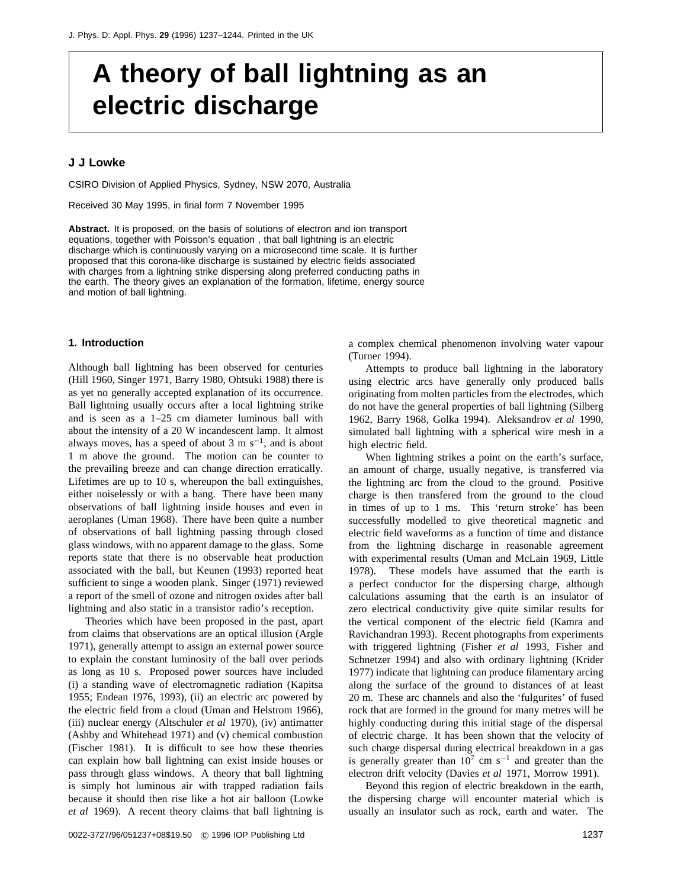# **A theory of ball lightning as an electric discharge**

# **J J Lowke**

CSIRO Division of Applied Physics, Sydney, NSW 2070, Australia

Received 30 May 1995, in final form 7 November 1995

**Abstract.** It is proposed, on the basis of solutions of electron and ion transport equations, together with Poisson's equation , that ball lightning is an electric discharge which is continuously varying on a microsecond time scale. It is further proposed that this corona-like discharge is sustained by electric fields associated with charges from a lightning strike dispersing along preferred conducting paths in the earth. The theory gives an explanation of the formation, lifetime, energy source and motion of ball lightning.

#### **1. Introduction**

Although ball lightning has been observed for centuries (Hill 1960, Singer 1971, Barry 1980, Ohtsuki 1988) there is as yet no generally accepted explanation of its occurrence. Ball lightning usually occurs after a local lightning strike and is seen as a 1–25 cm diameter luminous ball with about the intensity of a 20 W incandescent lamp. It almost always moves, has a speed of about  $3 \text{ m s}^{-1}$ , and is about 1 m above the ground. The motion can be counter to the prevailing breeze and can change direction erratically. Lifetimes are up to 10 s, whereupon the ball extinguishes, either noiselessly or with a bang. There have been many observations of ball lightning inside houses and even in aeroplanes (Uman 1968). There have been quite a number of observations of ball lightning passing through closed glass windows, with no apparent damage to the glass. Some reports state that there is no observable heat production associated with the ball, but Keunen (1993) reported heat sufficient to singe a wooden plank. Singer (1971) reviewed a report of the smell of ozone and nitrogen oxides after ball lightning and also static in a transistor radio's reception.

Theories which have been proposed in the past, apart from claims that observations are an optical illusion (Argle 1971), generally attempt to assign an external power source to explain the constant luminosity of the ball over periods as long as 10 s. Proposed power sources have included (i) a standing wave of electromagnetic radiation (Kapitsa 1955; Endean 1976, 1993), (ii) an electric arc powered by the electric field from a cloud (Uman and Helstrom 1966), (iii) nuclear energy (Altschuler *et al* 1970), (iv) antimatter (Ashby and Whitehead 1971) and (v) chemical combustion (Fischer 1981). It is difficult to see how these theories can explain how ball lightning can exist inside houses or pass through glass windows. A theory that ball lightning is simply hot luminous air with trapped radiation fails because it should then rise like a hot air balloon (Lowke *et al* 1969). A recent theory claims that ball lightning is

a complex chemical phenomenon involving water vapour (Turner 1994).

Attempts to produce ball lightning in the laboratory using electric arcs have generally only produced balls originating from molten particles from the electrodes, which do not have the general properties of ball lightning (Silberg 1962, Barry 1968, Golka 1994). Aleksandrov *et al* 1990, simulated ball lightning with a spherical wire mesh in a high electric field.

When lightning strikes a point on the earth's surface, an amount of charge, usually negative, is transferred via the lightning arc from the cloud to the ground. Positive charge is then transfered from the ground to the cloud in times of up to 1 ms. This 'return stroke' has been successfully modelled to give theoretical magnetic and electric field waveforms as a function of time and distance from the lightning discharge in reasonable agreement with experimental results (Uman and McLain 1969, Little 1978). These models have assumed that the earth is a perfect conductor for the dispersing charge, although calculations assuming that the earth is an insulator of zero electrical conductivity give quite similar results for the vertical component of the electric field (Kamra and Ravichandran 1993). Recent photographs from experiments with triggered lightning (Fisher *et al* 1993, Fisher and Schnetzer 1994) and also with ordinary lightning (Krider 1977) indicate that lightning can produce filamentary arcing along the surface of the ground to distances of at least 20 m. These arc channels and also the 'fulgurites' of fused rock that are formed in the ground for many metres will be highly conducting during this initial stage of the dispersal of electric charge. It has been shown that the velocity of such charge dispersal during electrical breakdown in a gas is generally greater than  $10^7$  cm s<sup>-1</sup> and greater than the electron drift velocity (Davies *et al* 1971, Morrow 1991).

Beyond this region of electric breakdown in the earth, the dispersing charge will encounter material which is usually an insulator such as rock, earth and water. The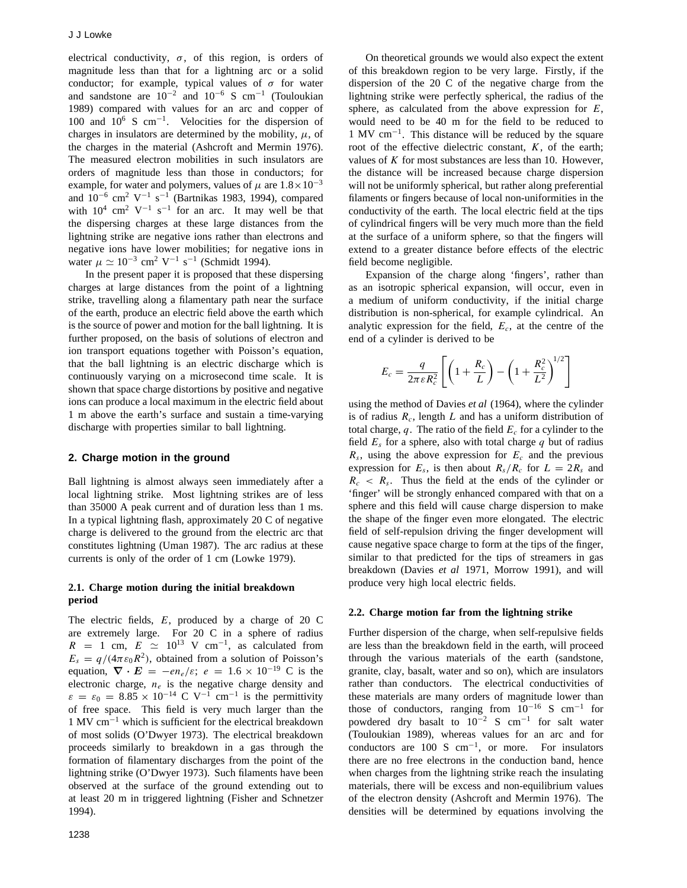electrical conductivity,  $\sigma$ , of this region, is orders of magnitude less than that for a lightning arc or a solid conductor; for example, typical values of  $\sigma$  for water and sandstone are  $10^{-2}$  and  $10^{-6}$  S cm<sup>-1</sup> (Touloukian 1989) compared with values for an arc and copper of 100 and  $10^6$  S cm<sup>-1</sup>. Velocities for the dispersion of charges in insulators are determined by the mobility,  $\mu$ , of the charges in the material (Ashcroft and Mermin 1976). The measured electron mobilities in such insulators are orders of magnitude less than those in conductors; for example, for water and polymers, values of  $\mu$  are  $1.8 \times 10^{-3}$ and  $10^{-6}$  cm<sup>2</sup> V<sup>-1</sup> s<sup>-1</sup> (Bartnikas 1983, 1994), compared with  $10^4$  cm<sup>2</sup> V<sup>-1</sup> s<sup>-1</sup> for an arc. It may well be that the dispersing charges at these large distances from the lightning strike are negative ions rather than electrons and negative ions have lower mobilities; for negative ions in water  $\mu \simeq 10^{-3}$  cm<sup>2</sup> V<sup>-1</sup> s<sup>-1</sup> (Schmidt 1994).

In the present paper it is proposed that these dispersing charges at large distances from the point of a lightning strike, travelling along a filamentary path near the surface of the earth, produce an electric field above the earth which is the source of power and motion for the ball lightning. It is further proposed, on the basis of solutions of electron and ion transport equations together with Poisson's equation, that the ball lightning is an electric discharge which is continuously varying on a microsecond time scale. It is shown that space charge distortions by positive and negative ions can produce a local maximum in the electric field about 1 m above the earth's surface and sustain a time-varying discharge with properties similar to ball lightning.

# **2. Charge motion in the ground**

Ball lightning is almost always seen immediately after a local lightning strike. Most lightning strikes are of less than 35000 A peak current and of duration less than 1 ms. In a typical lightning flash, approximately 20 C of negative charge is delivered to the ground from the electric arc that constitutes lightning (Uman 1987). The arc radius at these currents is only of the order of 1 cm (Lowke 1979).

# **2.1. Charge motion during the initial breakdown period**

The electric fields, *E*, produced by a charge of 20 C are extremely large. For 20 C in a sphere of radius  $R = 1$  cm,  $E \simeq 10^{13}$  V cm<sup>-1</sup>, as calculated from  $E_s = q/(4\pi\epsilon_0 R^2)$ , obtained from a solution of Poisson's equation,  $\nabla \cdot \mathbf{E} = -en_e/\varepsilon$ ;  $e = 1.6 \times 10^{-19}$  C is the electronic charge,  $n_e$  is the negative charge density and  $\varepsilon = \varepsilon_0 = 8.85 \times 10^{-14} \text{ C V}^{-1} \text{ cm}^{-1}$  is the permittivity of free space. This field is very much larger than the 1 MV cm−<sup>1</sup> which is sufficient for the electrical breakdown of most solids (O'Dwyer 1973). The electrical breakdown proceeds similarly to breakdown in a gas through the formation of filamentary discharges from the point of the lightning strike (O'Dwyer 1973). Such filaments have been observed at the surface of the ground extending out to at least 20 m in triggered lightning (Fisher and Schnetzer 1994).

On theoretical grounds we would also expect the extent of this breakdown region to be very large. Firstly, if the dispersion of the 20 C of the negative charge from the lightning strike were perfectly spherical, the radius of the sphere, as calculated from the above expression for *E*, would need to be 40 m for the field to be reduced to 1 MV cm−1. This distance will be reduced by the square root of the effective dielectric constant, *K*, of the earth; values of *K* for most substances are less than 10. However, the distance will be increased because charge dispersion will not be uniformly spherical, but rather along preferential filaments or fingers because of local non-uniformities in the conductivity of the earth. The local electric field at the tips of cylindrical fingers will be very much more than the field at the surface of a uniform sphere, so that the fingers will extend to a greater distance before effects of the electric field become negligible.

Expansion of the charge along 'fingers', rather than as an isotropic spherical expansion, will occur, even in a medium of uniform conductivity, if the initial charge distribution is non-spherical, for example cylindrical. An analytic expression for the field, *Ec*, at the centre of the end of a cylinder is derived to be

$$
E_c = \frac{q}{2\pi\varepsilon R_c^2} \left[ \left( 1 + \frac{R_c}{L} \right) - \left( 1 + \frac{R_c^2}{L^2} \right)^{1/2} \right]
$$

using the method of Davies *et al* (1964), where the cylinder is of radius *Rc*, length *<sup>L</sup>* and has a uniform distribution of total charge,  $q$ . The ratio of the field  $E_c$  for a cylinder to the field  $E_s$  for a sphere, also with total charge  $q$  but of radius  $R_s$ , using the above expression for  $E_c$  and the previous expression for  $E_s$ , is then about  $R_s/R_c$  for  $L = 2R_s$  and  $R_c < R_s$ . Thus the field at the ends of the cylinder or 'finger' will be strongly enhanced compared with that on a sphere and this field will cause charge dispersion to make the shape of the finger even more elongated. The electric field of self-repulsion driving the finger development will cause negative space charge to form at the tips of the finger, similar to that predicted for the tips of streamers in gas breakdown (Davies *et al* 1971, Morrow 1991), and will produce very high local electric fields.

# **2.2. Charge motion far from the lightning strike**

Further dispersion of the charge, when self-repulsive fields are less than the breakdown field in the earth, will proceed through the various materials of the earth (sandstone, granite, clay, basalt, water and so on), which are insulators rather than conductors. The electrical conductivities of these materials are many orders of magnitude lower than those of conductors, ranging from  $10^{-16}$  S cm<sup>-1</sup> for powdered dry basalt to  $10^{-2}$  S cm<sup>-1</sup> for salt water (Touloukian 1989), whereas values for an arc and for conductors are 100 S cm−1, or more. For insulators there are no free electrons in the conduction band, hence when charges from the lightning strike reach the insulating materials, there will be excess and non-equilibrium values of the electron density (Ashcroft and Mermin 1976). The densities will be determined by equations involving the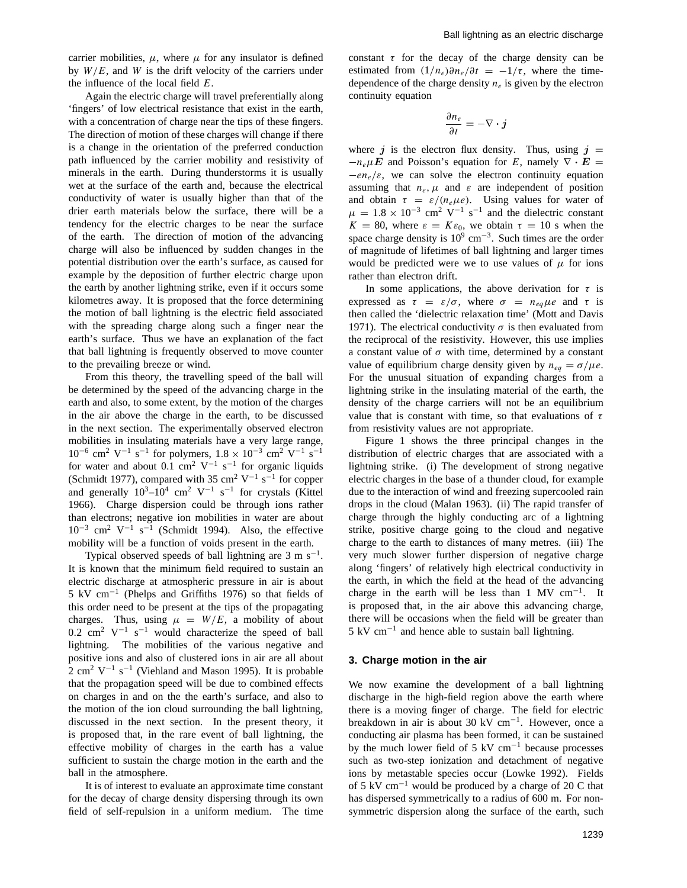carrier mobilities,  $\mu$ , where  $\mu$  for any insulator is defined by *W/E*, and *W* is the drift velocity of the carriers under the influence of the local field *E*.

Again the electric charge will travel preferentially along 'fingers' of low electrical resistance that exist in the earth, with a concentration of charge near the tips of these fingers. The direction of motion of these charges will change if there is a change in the orientation of the preferred conduction path influenced by the carrier mobility and resistivity of minerals in the earth. During thunderstorms it is usually wet at the surface of the earth and, because the electrical conductivity of water is usually higher than that of the drier earth materials below the surface, there will be a tendency for the electric charges to be near the surface of the earth. The direction of motion of the advancing charge will also be influenced by sudden changes in the potential distribution over the earth's surface, as caused for example by the deposition of further electric charge upon the earth by another lightning strike, even if it occurs some kilometres away. It is proposed that the force determining the motion of ball lightning is the electric field associated with the spreading charge along such a finger near the earth's surface. Thus we have an explanation of the fact that ball lightning is frequently observed to move counter to the prevailing breeze or wind.

From this theory, the travelling speed of the ball will be determined by the speed of the advancing charge in the earth and also, to some extent, by the motion of the charges in the air above the charge in the earth, to be discussed in the next section. The experimentally observed electron mobilities in insulating materials have a very large range, <sup>10</sup>−<sup>6</sup> cm2 <sup>V</sup>−<sup>1</sup> <sup>s</sup>−<sup>1</sup> for polymers, 1*.*<sup>8</sup> <sup>×</sup> <sup>10</sup>−<sup>3</sup> cm2 <sup>V</sup>−<sup>1</sup> <sup>s</sup>−<sup>1</sup> for water and about 0.1 cm<sup>2</sup> V<sup>-1</sup> s<sup>-1</sup> for organic liquids (Schmidt 1977), compared with 35 cm<sup>2</sup> V<sup>-1</sup> s<sup>-1</sup> for copper and generally  $10^3$ – $10^4$  cm<sup>2</sup> V<sup>-1</sup> s<sup>-1</sup> for crystals (Kittel 1966). Charge dispersion could be through ions rather than electrons; negative ion mobilities in water are about  $10^{-3}$  cm<sup>2</sup> V<sup>-1</sup> s<sup>-1</sup> (Schmidt 1994). Also, the effective mobility will be a function of voids present in the earth.

Typical observed speeds of ball lightning are  $3 \text{ m s}^{-1}$ . It is known that the minimum field required to sustain an electric discharge at atmospheric pressure in air is about 5 kV cm−<sup>1</sup> (Phelps and Griffiths 1976) so that fields of this order need to be present at the tips of the propagating charges. Thus, using  $\mu = W/E$ , a mobility of about 0.2 cm<sup>2</sup> V<sup>-1</sup> s<sup>-1</sup> would characterize the speed of ball lightning. The mobilities of the various negative and positive ions and also of clustered ions in air are all about  $2 \text{ cm}^2 \text{ V}^{-1} \text{ s}^{-1}$  (Viehland and Mason 1995). It is probable that the propagation speed will be due to combined effects on charges in and on the the earth's surface, and also to the motion of the ion cloud surrounding the ball lightning, discussed in the next section. In the present theory, it is proposed that, in the rare event of ball lightning, the effective mobility of charges in the earth has a value sufficient to sustain the charge motion in the earth and the ball in the atmosphere.

It is of interest to evaluate an approximate time constant for the decay of charge density dispersing through its own field of self-repulsion in a uniform medium. The time

constant  $\tau$  for the decay of the charge density can be estimated from  $(1/n_e)\partial n_e/\partial t = -1/\tau$ , where the timedependence of the charge density  $n_e$  is given by the electron continuity equation

$$
\frac{\partial n_e}{\partial t} = -\nabla \cdot \boldsymbol{j}
$$

where  $j$  is the electron flux density. Thus, using  $j =$  $-n_e\mu E$  and Poisson's equation for *E*, namely  $\nabla \cdot E =$  $-e_n$ <sub>e</sub>/ $\varepsilon$ , we can solve the electron continuity equation assuming that  $n_e$ ,  $\mu$  and  $\varepsilon$  are independent of position and obtain  $\tau = \varepsilon/(n_e \mu e)$ . Using values for water of and obtain  $\tau = \varepsilon/(n_e \mu e)$ . Using values for water of  $\mu = 1.8 \times 10^{-3}$  cm<sup>2</sup> V<sup>-1</sup> s<sup>-1</sup> and the dielectric constant  $\mu = 1.8 \times 10^{-3}$  cm<sup>2</sup> V<sup>-1</sup> s<sup>-1</sup> and the dielectric constant  $K = 80$  where  $s = K s_0$  we obtain  $\tau = 10$  s when the *K* = 80, where  $ε$  =  $Kε_0$ , we obtain  $τ$  = 10 s when the space charge density is  $10^9$  cm<sup>-3</sup>. Such times are the order of magnitude of lifetimes of ball lightning and larger times would be predicted were we to use values of  $\mu$  for ions rather than electron drift.

In some applications, the above derivation for  $\tau$  is expressed as  $\tau = \varepsilon/\sigma$ , where  $\sigma = n_{eq}\mu e$  and  $\tau$  is then called the 'dielectric relaxation time' (Mott and Davis 1971). The electrical conductivity  $\sigma$  is then evaluated from the reciprocal of the resistivity. However, this use implies a constant value of  $\sigma$  with time, determined by a constant value of equilibrium charge density given by  $n_{eq} = \sigma / \mu e$ . For the unusual situation of expanding charges from a lightning strike in the insulating material of the earth, the density of the charge carriers will not be an equilibrium value that is constant with time, so that evaluations of *τ* from resistivity values are not appropriate.

Figure 1 shows the three principal changes in the distribution of electric charges that are associated with a lightning strike. (i) The development of strong negative electric charges in the base of a thunder cloud, for example due to the interaction of wind and freezing supercooled rain drops in the cloud (Malan 1963). (ii) The rapid transfer of charge through the highly conducting arc of a lightning strike, positive charge going to the cloud and negative charge to the earth to distances of many metres. (iii) The very much slower further dispersion of negative charge along 'fingers' of relatively high electrical conductivity in the earth, in which the field at the head of the advancing charge in the earth will be less than 1 MV cm<sup>-1</sup>. It is proposed that, in the air above this advancing charge, there will be occasions when the field will be greater than  $5 \text{ kV cm}^{-1}$  and hence able to sustain ball lightning.

#### **3. Charge motion in the air**

We now examine the development of a ball lightning discharge in the high-field region above the earth where there is a moving finger of charge. The field for electric breakdown in air is about 30 kV cm−1. However, once a conducting air plasma has been formed, it can be sustained by the much lower field of 5 kV cm<sup>-1</sup> because processes such as two-step ionization and detachment of negative ions by metastable species occur (Lowke 1992). Fields of 5 kV cm−<sup>1</sup> would be produced by a charge of 20 C that has dispersed symmetrically to a radius of 600 m. For nonsymmetric dispersion along the surface of the earth, such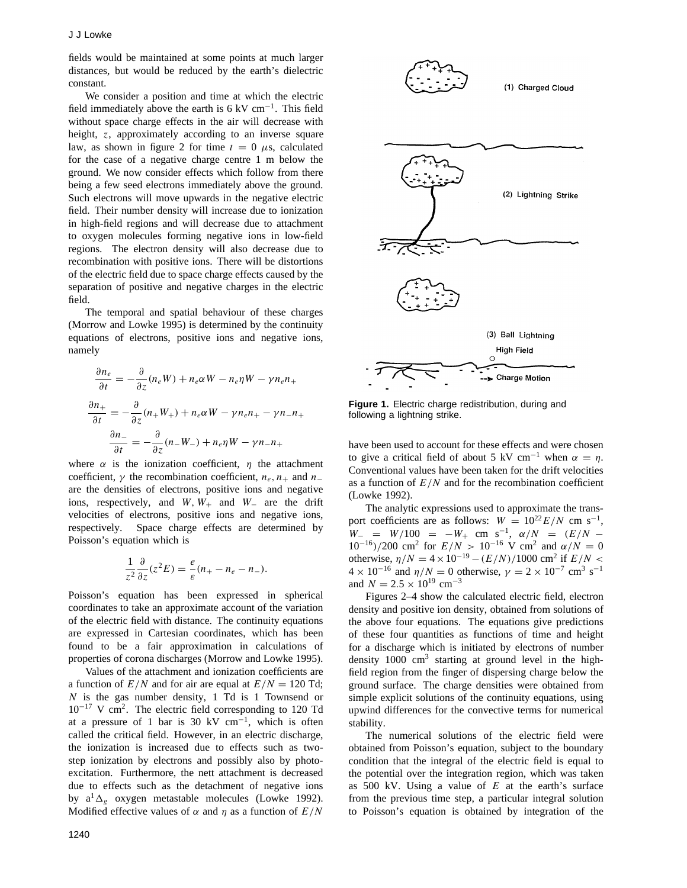fields would be maintained at some points at much larger distances, but would be reduced by the earth's dielectric constant.

We consider a position and time at which the electric field immediately above the earth is 6 kV cm<sup>-1</sup>. This field without space charge effects in the air will decrease with height, *z*, approximately according to an inverse square law, as shown in figure 2 for time  $t = 0$   $\mu$ s, calculated for the case of a negative charge centre 1 m below the ground. We now consider effects which follow from there being a few seed electrons immediately above the ground. Such electrons will move upwards in the negative electric field. Their number density will increase due to ionization in high-field regions and will decrease due to attachment to oxygen molecules forming negative ions in low-field regions. The electron density will also decrease due to recombination with positive ions. There will be distortions of the electric field due to space charge effects caused by the separation of positive and negative charges in the electric field.

The temporal and spatial behaviour of these charges (Morrow and Lowke 1995) is determined by the continuity equations of electrons, positive ions and negative ions, namely

$$
\frac{\partial n_e}{\partial t} = -\frac{\partial}{\partial z}(n_e W) + n_e \alpha W - n_e \eta W - \gamma n_e n_+
$$

$$
\frac{\partial n_+}{\partial t} = -\frac{\partial}{\partial z}(n_+ W_+) + n_e \alpha W - \gamma n_e n_+ - \gamma n_- n_+
$$

$$
\frac{\partial n_-}{\partial t} = -\frac{\partial}{\partial z}(n_- W_-) + n_e \eta W - \gamma n_- n_+
$$

where  $\alpha$  is the ionization coefficient,  $\eta$  the attachment<br>coefficient  $\gamma$  the recombination coefficient  $n_1$ , and  $n_2$ coefficient,  $\gamma$  the recombination coefficient,  $n_e$ ,  $n_+$  and  $n_$ are the densities of electrons, positive ions and negative ions, respectively, and  $W$ ,  $W_+$  and  $W_-$  are the drift velocities of electrons, positive ions and negative ions, respectively. Space charge effects are determined by Poisson's equation which is

$$
\frac{1}{z^2}\frac{\partial}{\partial z}(z^2E) = \frac{e}{\varepsilon}(n_+ - n_e - n_-).
$$

Poisson's equation has been expressed in spherical coordinates to take an approximate account of the variation of the electric field with distance. The continuity equations are expressed in Cartesian coordinates, which has been found to be a fair approximation in calculations of properties of corona discharges (Morrow and Lowke 1995).

Values of the attachment and ionization coefficients are a function of  $E/N$  and for air are equal at  $E/N = 120$  Td; *N* is the gas number density, 1 Td is 1 Townsend or 10−<sup>17</sup> V cm2. The electric field corresponding to 120 Td at a pressure of 1 bar is 30 kV  $cm^{-1}$ , which is often called the critical field. However, in an electric discharge, the ionization is increased due to effects such as twostep ionization by electrons and possibly also by photoexcitation. Furthermore, the nett attachment is decreased due to effects such as the detachment of negative ions by  $a^1 \Delta_g$  oxygen metastable molecules (Lowke 1992). Modified effective values of  $\alpha$  and  $\eta$  as a function of  $E/N$ 



**Figure 1.** Electric charge redistribution, during and following a lightning strike.

have been used to account for these effects and were chosen to give a critical field of about 5 kV cm<sup>-1</sup> when  $\alpha = \eta$ . Conventional values have been taken for the drift velocities as a function of  $E/N$  and for the recombination coefficient (Lowke 1992).

The analytic expressions used to approximate the trans-<br>port coefficients are as follows:  $W = 10^{22} E/N$  cm s<sup>-1</sup>, port coefficients are as follows:  $W = 10^{22} E/N$  cm s<sup>−1</sup>,<br> $W = W/100 = -W$ , cm s<sup>−1</sup>,  $\alpha/N = (E/N W_-\equiv W/100 = -W_+$  cm s<sup>-1</sup>,  $\alpha/N = (E/N - 10^{-16})/200$  cm<sup>2</sup> for  $E/N > 10^{-16}$  V cm<sup>2</sup> and  $\alpha/N = 0$ 10<sup>-16</sup>*)/*200 cm<sup>2</sup> for  $E/N > 10^{-16}$  V cm<sup>2</sup> and  $α/N = 0$ <br>otherwise  $n/N = 4 × 10^{-19} - (E/N)/1000$  cm<sup>2</sup> if  $E/N <$ otherwise,  $\eta/N = 4 \times 10^{-19} - (E/N)/1000$  cm<sup>2</sup> if  $E/N < 4 \times 10^{-16}$  and  $n/N = 0$  otherwise  $\gamma = 2 \times 10^{-7}$  cm<sup>3</sup> s<sup>-1</sup>  $4 \times 10^{-16}$  and  $\eta/N = 0$  otherwise,  $\gamma = 2 \times 10^{-7}$  cm<sup>3</sup> s<sup>-1</sup> and  $N = 2.5 \times 10^{19}$  cm<sup>-3</sup>

Figures 2–4 show the calculated electric field, electron density and positive ion density, obtained from solutions of the above four equations. The equations give predictions of these four quantities as functions of time and height for a discharge which is initiated by electrons of number density  $1000 \text{ cm}^3$  starting at ground level in the highfield region from the finger of dispersing charge below the ground surface. The charge densities were obtained from simple explicit solutions of the continuity equations, using upwind differences for the convective terms for numerical stability.

The numerical solutions of the electric field were obtained from Poisson's equation, subject to the boundary condition that the integral of the electric field is equal to the potential over the integration region, which was taken as 500 kV. Using a value of *E* at the earth's surface from the previous time step, a particular integral solution to Poisson's equation is obtained by integration of the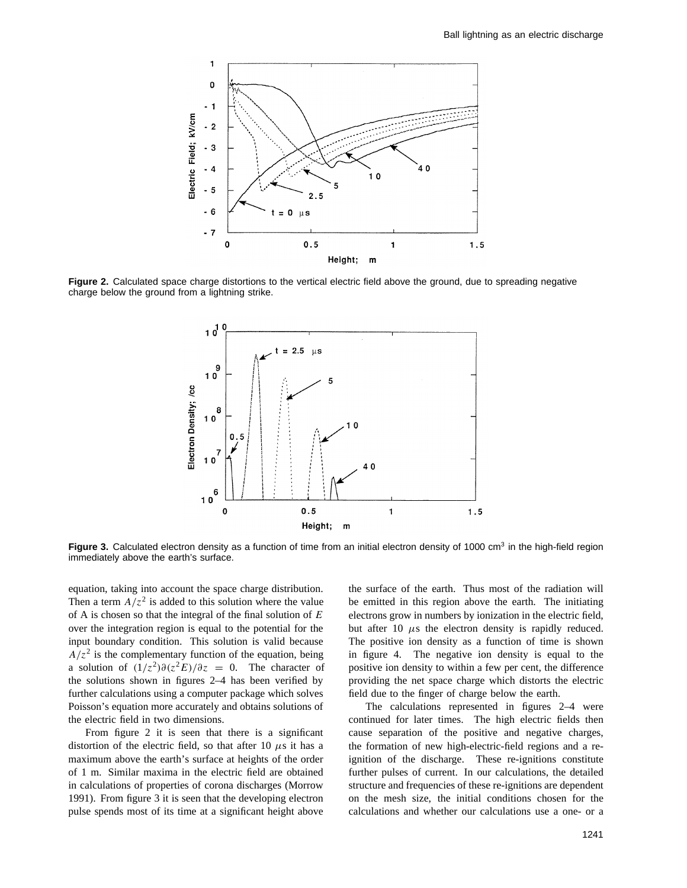

**Figure 2.** Calculated space charge distortions to the vertical electric field above the ground, due to spreading negative charge below the ground from a lightning strike.



Figure 3. Calculated electron density as a function of time from an initial electron density of 1000 cm<sup>3</sup> in the high-field region immediately above the earth's surface.

equation, taking into account the space charge distribution. Then a term  $A/z^2$  is added to this solution where the value of A is chosen so that the integral of the final solution of *E* over the integration region is equal to the potential for the input boundary condition. This solution is valid because  $A/z<sup>2</sup>$  is the complementary function of the equation, being a solution of  $(1/z^2)\partial(z^2E)/\partial z = 0$ . The character of the solutions shown in figures 2–4 has been verified by further calculations using a computer package which solves Poisson's equation more accurately and obtains solutions of the electric field in two dimensions.

From figure 2 it is seen that there is a significant distortion of the electric field, so that after 10  $\mu$ s it has a maximum above the earth's surface at heights of the order of 1 m. Similar maxima in the electric field are obtained in calculations of properties of corona discharges (Morrow 1991). From figure 3 it is seen that the developing electron pulse spends most of its time at a significant height above

the surface of the earth. Thus most of the radiation will be emitted in this region above the earth. The initiating electrons grow in numbers by ionization in the electric field, but after 10  $\mu$ s the electron density is rapidly reduced. The positive ion density as a function of time is shown in figure 4. The negative ion density is equal to the positive ion density to within a few per cent, the difference providing the net space charge which distorts the electric field due to the finger of charge below the earth.

The calculations represented in figures 2–4 were continued for later times. The high electric fields then cause separation of the positive and negative charges, the formation of new high-electric-field regions and a reignition of the discharge. These re-ignitions constitute further pulses of current. In our calculations, the detailed structure and frequencies of these re-ignitions are dependent on the mesh size, the initial conditions chosen for the calculations and whether our calculations use a one- or a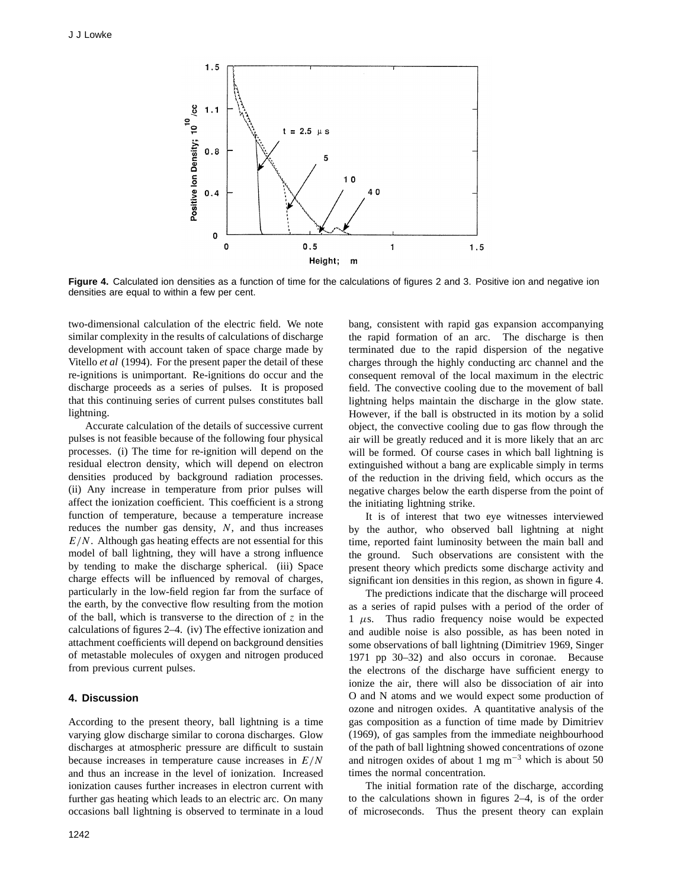

**Figure 4.** Calculated ion densities as a function of time for the calculations of figures 2 and 3. Positive ion and negative ion densities are equal to within a few per cent.

two-dimensional calculation of the electric field. We note similar complexity in the results of calculations of discharge development with account taken of space charge made by Vitello *et al* (1994). For the present paper the detail of these re-ignitions is unimportant. Re-ignitions do occur and the discharge proceeds as a series of pulses. It is proposed that this continuing series of current pulses constitutes ball lightning.

Accurate calculation of the details of successive current pulses is not feasible because of the following four physical processes. (i) The time for re-ignition will depend on the residual electron density, which will depend on electron densities produced by background radiation processes. (ii) Any increase in temperature from prior pulses will affect the ionization coefficient. This coefficient is a strong function of temperature, because a temperature increase reduces the number gas density, *N*, and thus increases *E/N*. Although gas heating effects are not essential for this model of ball lightning, they will have a strong influence by tending to make the discharge spherical. (iii) Space charge effects will be influenced by removal of charges, particularly in the low-field region far from the surface of the earth, by the convective flow resulting from the motion of the ball, which is transverse to the direction of *z* in the calculations of figures 2–4. (iv) The effective ionization and attachment coefficients will depend on background densities of metastable molecules of oxygen and nitrogen produced from previous current pulses.

### **4. Discussion**

According to the present theory, ball lightning is a time varying glow discharge similar to corona discharges. Glow discharges at atmospheric pressure are difficult to sustain because increases in temperature cause increases in *E/N* and thus an increase in the level of ionization. Increased ionization causes further increases in electron current with further gas heating which leads to an electric arc. On many occasions ball lightning is observed to terminate in a loud

1242

bang, consistent with rapid gas expansion accompanying the rapid formation of an arc. The discharge is then terminated due to the rapid dispersion of the negative charges through the highly conducting arc channel and the consequent removal of the local maximum in the electric field. The convective cooling due to the movement of ball lightning helps maintain the discharge in the glow state. However, if the ball is obstructed in its motion by a solid object, the convective cooling due to gas flow through the air will be greatly reduced and it is more likely that an arc will be formed. Of course cases in which ball lightning is extinguished without a bang are explicable simply in terms of the reduction in the driving field, which occurs as the negative charges below the earth disperse from the point of the initiating lightning strike.

It is of interest that two eye witnesses interviewed by the author, who observed ball lightning at night time, reported faint luminosity between the main ball and the ground. Such observations are consistent with the present theory which predicts some discharge activity and significant ion densities in this region, as shown in figure 4.

The predictions indicate that the discharge will proceed as a series of rapid pulses with a period of the order of <sup>1</sup> *µ*s. Thus radio frequency noise would be expected and audible noise is also possible, as has been noted in some observations of ball lightning (Dimitriev 1969, Singer 1971 pp 30–32) and also occurs in coronae. Because the electrons of the discharge have sufficient energy to ionize the air, there will also be dissociation of air into O and N atoms and we would expect some production of ozone and nitrogen oxides. A quantitative analysis of the gas composition as a function of time made by Dimitriev (1969), of gas samples from the immediate neighbourhood of the path of ball lightning showed concentrations of ozone and nitrogen oxides of about 1 mg m<sup> $-3$ </sup> which is about 50 times the normal concentration.

The initial formation rate of the discharge, according to the calculations shown in figures 2–4, is of the order of microseconds. Thus the present theory can explain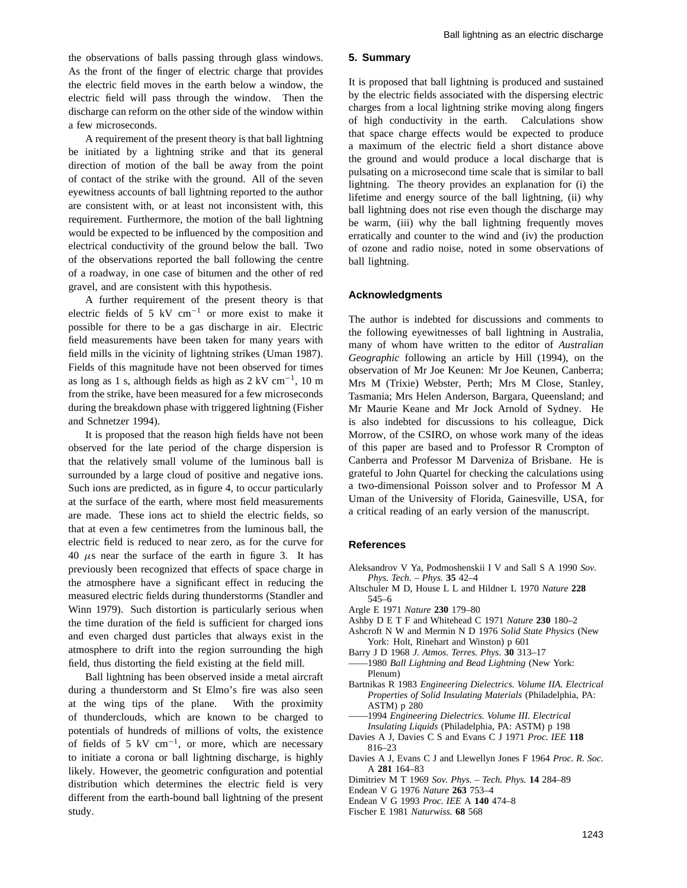the observations of balls passing through glass windows. As the front of the finger of electric charge that provides the electric field moves in the earth below a window, the electric field will pass through the window. Then the discharge can reform on the other side of the window within a few microseconds.

A requirement of the present theory is that ball lightning be initiated by a lightning strike and that its general direction of motion of the ball be away from the point of contact of the strike with the ground. All of the seven eyewitness accounts of ball lightning reported to the author are consistent with, or at least not inconsistent with, this requirement. Furthermore, the motion of the ball lightning would be expected to be influenced by the composition and electrical conductivity of the ground below the ball. Two of the observations reported the ball following the centre of a roadway, in one case of bitumen and the other of red gravel, and are consistent with this hypothesis.

A further requirement of the present theory is that electric fields of 5 kV cm−<sup>1</sup> or more exist to make it possible for there to be a gas discharge in air. Electric field measurements have been taken for many years with field mills in the vicinity of lightning strikes (Uman 1987). Fields of this magnitude have not been observed for times as long as 1 s, although fields as high as 2 kV cm−1, 10 m from the strike, have been measured for a few microseconds during the breakdown phase with triggered lightning (Fisher and Schnetzer 1994).

It is proposed that the reason high fields have not been observed for the late period of the charge dispersion is that the relatively small volume of the luminous ball is surrounded by a large cloud of positive and negative ions. Such ions are predicted, as in figure 4, to occur particularly at the surface of the earth, where most field measurements are made. These ions act to shield the electric fields, so that at even a few centimetres from the luminous ball, the electric field is reduced to near zero, as for the curve for  $40 \mu s$  near the surface of the earth in figure 3. It has previously been recognized that effects of space charge in the atmosphere have a significant effect in reducing the measured electric fields during thunderstorms (Standler and Winn 1979). Such distortion is particularly serious when the time duration of the field is sufficient for charged ions and even charged dust particles that always exist in the atmosphere to drift into the region surrounding the high field, thus distorting the field existing at the field mill.

Ball lightning has been observed inside a metal aircraft during a thunderstorm and St Elmo's fire was also seen at the wing tips of the plane. With the proximity of thunderclouds, which are known to be charged to potentials of hundreds of millions of volts, the existence of fields of 5 kV  $cm^{-1}$ , or more, which are necessary to initiate a corona or ball lightning discharge, is highly likely. However, the geometric configuration and potential distribution which determines the electric field is very different from the earth-bound ball lightning of the present study.

#### **5. Summary**

It is proposed that ball lightning is produced and sustained by the electric fields associated with the dispersing electric charges from a local lightning strike moving along fingers of high conductivity in the earth. Calculations show that space charge effects would be expected to produce a maximum of the electric field a short distance above the ground and would produce a local discharge that is pulsating on a microsecond time scale that is similar to ball lightning. The theory provides an explanation for (i) the lifetime and energy source of the ball lightning, (ii) why ball lightning does not rise even though the discharge may be warm, (iii) why the ball lightning frequently moves erratically and counter to the wind and (iv) the production of ozone and radio noise, noted in some observations of ball lightning.

#### **Acknowledgments**

The author is indebted for discussions and comments to the following eyewitnesses of ball lightning in Australia, many of whom have written to the editor of *Australian Geographic* following an article by Hill (1994), on the observation of Mr Joe Keunen: Mr Joe Keunen, Canberra; Mrs M (Trixie) Webster, Perth; Mrs M Close, Stanley, Tasmania; Mrs Helen Anderson, Bargara, Queensland; and Mr Maurie Keane and Mr Jock Arnold of Sydney. He is also indebted for discussions to his colleague, Dick Morrow, of the CSIRO, on whose work many of the ideas of this paper are based and to Professor R Crompton of Canberra and Professor M Darveniza of Brisbane. He is grateful to John Quartel for checking the calculations using a two-dimensional Poisson solver and to Professor M A Uman of the University of Florida, Gainesville, USA, for a critical reading of an early version of the manuscript.

#### **References**

- Aleksandrov V Ya, Podmoshenskii I V and Sall S A 1990 *Sov. Phys. Tech. – Phys.* **35** 42–4
- Altschuler M D, House L L and Hildner L 1970 *Nature* **228** 545–6
- Argle E 1971 *Nature* **230** 179–80
- Ashby D E T F and Whitehead C 1971 *Nature* **230** 180–2
- Ashcroft N W and Mermin N D 1976 *Solid State Physics* (New York: Holt, Rinehart and Winston) p 601
- Barry J D 1968 *J. Atmos. Terres. Phys.* **30** 313–17
- ——1980 *Ball Lightning and Bead Lightning* (New York: Plenum)
- Bartnikas R 1983 *Engineering Dielectrics. Volume IIA. Electrical Properties of Solid Insulating Materials* (Philadelphia, PA: ASTM) p 280
- ——1994 *Engineering Dielectrics. Volume III. Electrical Insulating Liquids* (Philadelphia, PA: ASTM) p 198
- Davies A J, Davies C S and Evans C J 1971 *Proc. IEE* **118** 816–23
- Davies A J, Evans C J and Llewellyn Jones F 1964 *Proc. R. Soc.* A **281** 164–83
- Dimitriev M T 1969 *Sov. Phys. Tech. Phys.* **14** 284–89
- Endean V G 1976 *Nature* **263** 753–4
- Endean V G 1993 *Proc. IEE* A **140** 474–8
- Fischer E 1981 *Naturwiss.* **68** 568